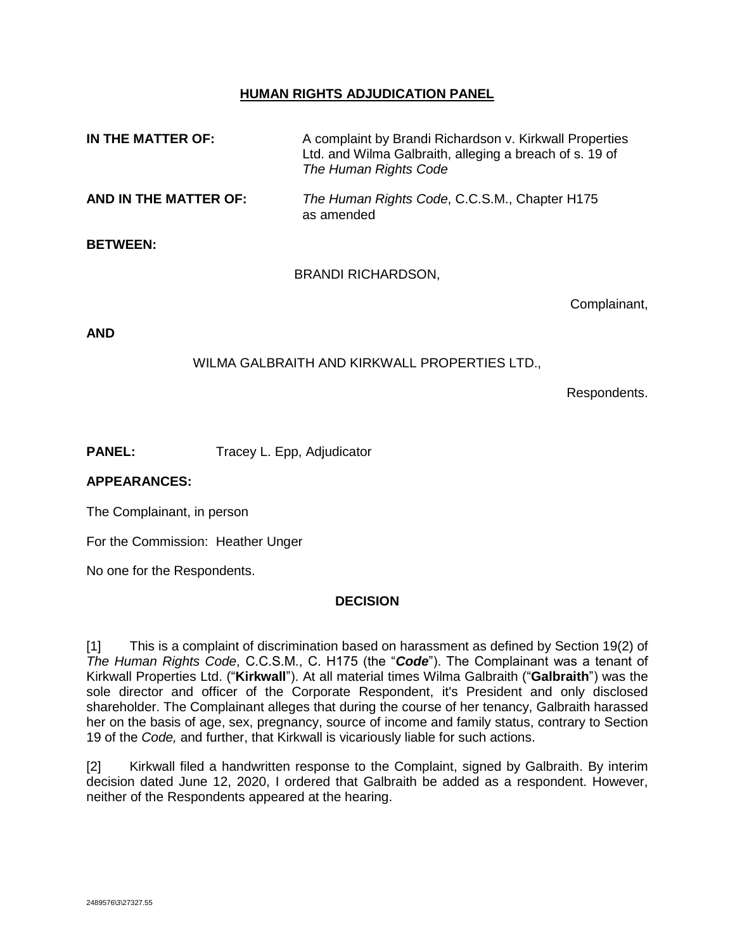# **HUMAN RIGHTS ADJUDICATION PANEL**

| IN THE MATTER OF:     | A complaint by Brandi Richardson v. Kirkwall Properties<br>Ltd. and Wilma Galbraith, alleging a breach of s. 19 of<br>The Human Rights Code |              |
|-----------------------|---------------------------------------------------------------------------------------------------------------------------------------------|--------------|
| AND IN THE MATTER OF: | The Human Rights Code, C.C.S.M., Chapter H175<br>as amended                                                                                 |              |
| <b>BETWEEN:</b>       |                                                                                                                                             |              |
|                       | <b>BRANDI RICHARDSON,</b>                                                                                                                   |              |
|                       |                                                                                                                                             | Complainant, |

**AND**

## WILMA GALBRAITH AND KIRKWALL PROPERTIES LTD.,

Respondents.

**PANEL:** Tracey L. Epp, Adjudicator

## **APPEARANCES:**

The Complainant, in person

For the Commission: Heather Unger

No one for the Respondents.

# **DECISION**

[1] This is a complaint of discrimination based on harassment as defined by Section 19(2) of *The Human Rights Code*, C.C.S.M., C. H175 (the "*Code*"). The Complainant was a tenant of Kirkwall Properties Ltd. ("**Kirkwall**"). At all material times Wilma Galbraith ("**Galbraith**") was the sole director and officer of the Corporate Respondent, it's President and only disclosed shareholder. The Complainant alleges that during the course of her tenancy, Galbraith harassed her on the basis of age, sex, pregnancy, source of income and family status, contrary to Section 19 of the *Code,* and further, that Kirkwall is vicariously liable for such actions.

[2] Kirkwall filed a handwritten response to the Complaint, signed by Galbraith. By interim decision dated June 12, 2020, I ordered that Galbraith be added as a respondent. However, neither of the Respondents appeared at the hearing.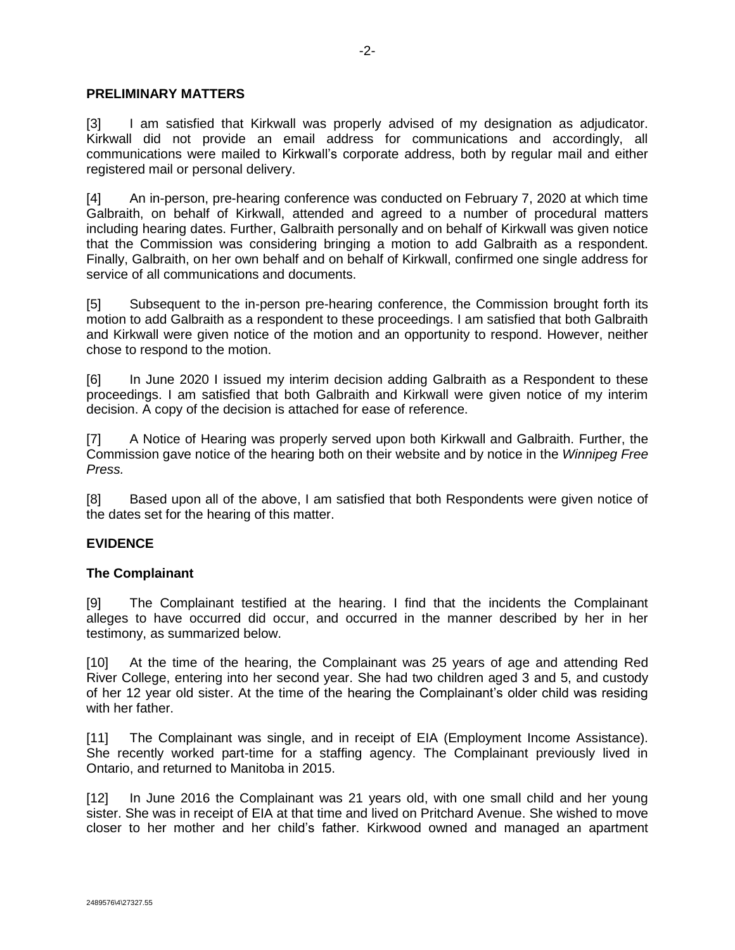### **PRELIMINARY MATTERS**

[3] I am satisfied that Kirkwall was properly advised of my designation as adjudicator. Kirkwall did not provide an email address for communications and accordingly, all communications were mailed to Kirkwall's corporate address, both by regular mail and either registered mail or personal delivery.

[4] An in-person, pre-hearing conference was conducted on February 7, 2020 at which time Galbraith, on behalf of Kirkwall, attended and agreed to a number of procedural matters including hearing dates. Further, Galbraith personally and on behalf of Kirkwall was given notice that the Commission was considering bringing a motion to add Galbraith as a respondent. Finally, Galbraith, on her own behalf and on behalf of Kirkwall, confirmed one single address for service of all communications and documents.

[5] Subsequent to the in-person pre-hearing conference, the Commission brought forth its motion to add Galbraith as a respondent to these proceedings. I am satisfied that both Galbraith and Kirkwall were given notice of the motion and an opportunity to respond. However, neither chose to respond to the motion.

[6] In June 2020 I issued my interim decision adding Galbraith as a Respondent to these proceedings. I am satisfied that both Galbraith and Kirkwall were given notice of my interim decision. A copy of the decision is attached for ease of reference.

[7] A Notice of Hearing was properly served upon both Kirkwall and Galbraith. Further, the Commission gave notice of the hearing both on their website and by notice in the *Winnipeg Free Press.*

[8] Based upon all of the above, I am satisfied that both Respondents were given notice of the dates set for the hearing of this matter.

## **EVIDENCE**

#### **The Complainant**

[9] The Complainant testified at the hearing. I find that the incidents the Complainant alleges to have occurred did occur, and occurred in the manner described by her in her testimony, as summarized below.

[10] At the time of the hearing, the Complainant was 25 years of age and attending Red River College, entering into her second year. She had two children aged 3 and 5, and custody of her 12 year old sister. At the time of the hearing the Complainant's older child was residing with her father.

[11] The Complainant was single, and in receipt of EIA (Employment Income Assistance). She recently worked part-time for a staffing agency. The Complainant previously lived in Ontario, and returned to Manitoba in 2015.

[12] In June 2016 the Complainant was 21 years old, with one small child and her young sister. She was in receipt of EIA at that time and lived on Pritchard Avenue. She wished to move closer to her mother and her child's father. Kirkwood owned and managed an apartment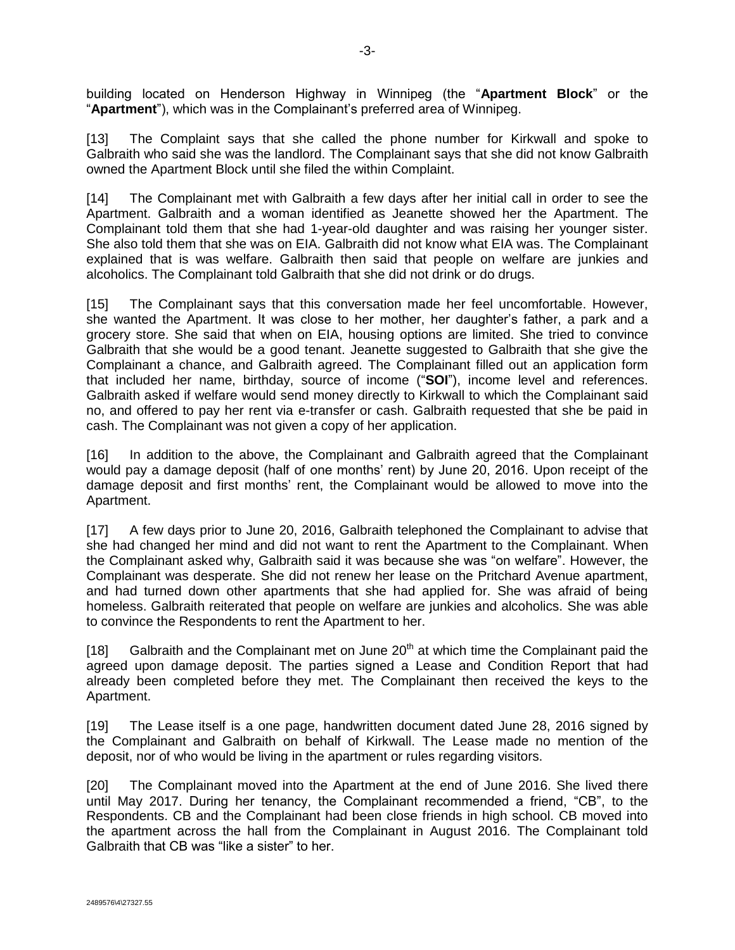building located on Henderson Highway in Winnipeg (the "**Apartment Block**" or the "**Apartment**"), which was in the Complainant's preferred area of Winnipeg.

[13] The Complaint says that she called the phone number for Kirkwall and spoke to Galbraith who said she was the landlord. The Complainant says that she did not know Galbraith owned the Apartment Block until she filed the within Complaint.

[14] The Complainant met with Galbraith a few days after her initial call in order to see the Apartment. Galbraith and a woman identified as Jeanette showed her the Apartment. The Complainant told them that she had 1-year-old daughter and was raising her younger sister. She also told them that she was on EIA. Galbraith did not know what EIA was. The Complainant explained that is was welfare. Galbraith then said that people on welfare are junkies and alcoholics. The Complainant told Galbraith that she did not drink or do drugs.

[15] The Complainant says that this conversation made her feel uncomfortable. However, she wanted the Apartment. It was close to her mother, her daughter's father, a park and a grocery store. She said that when on EIA, housing options are limited. She tried to convince Galbraith that she would be a good tenant. Jeanette suggested to Galbraith that she give the Complainant a chance, and Galbraith agreed. The Complainant filled out an application form that included her name, birthday, source of income ("**SOI**"), income level and references. Galbraith asked if welfare would send money directly to Kirkwall to which the Complainant said no, and offered to pay her rent via e-transfer or cash. Galbraith requested that she be paid in cash. The Complainant was not given a copy of her application.

[16] In addition to the above, the Complainant and Galbraith agreed that the Complainant would pay a damage deposit (half of one months' rent) by June 20, 2016. Upon receipt of the damage deposit and first months' rent, the Complainant would be allowed to move into the Apartment.

[17] A few days prior to June 20, 2016, Galbraith telephoned the Complainant to advise that she had changed her mind and did not want to rent the Apartment to the Complainant. When the Complainant asked why, Galbraith said it was because she was "on welfare". However, the Complainant was desperate. She did not renew her lease on the Pritchard Avenue apartment, and had turned down other apartments that she had applied for. She was afraid of being homeless. Galbraith reiterated that people on welfare are junkies and alcoholics. She was able to convince the Respondents to rent the Apartment to her.

[18] Galbraith and the Complainant met on June  $20<sup>th</sup>$  at which time the Complainant paid the agreed upon damage deposit. The parties signed a Lease and Condition Report that had already been completed before they met. The Complainant then received the keys to the Apartment.

[19] The Lease itself is a one page, handwritten document dated June 28, 2016 signed by the Complainant and Galbraith on behalf of Kirkwall. The Lease made no mention of the deposit, nor of who would be living in the apartment or rules regarding visitors.

[20] The Complainant moved into the Apartment at the end of June 2016. She lived there until May 2017. During her tenancy, the Complainant recommended a friend, "CB", to the Respondents. CB and the Complainant had been close friends in high school. CB moved into the apartment across the hall from the Complainant in August 2016. The Complainant told Galbraith that CB was "like a sister" to her.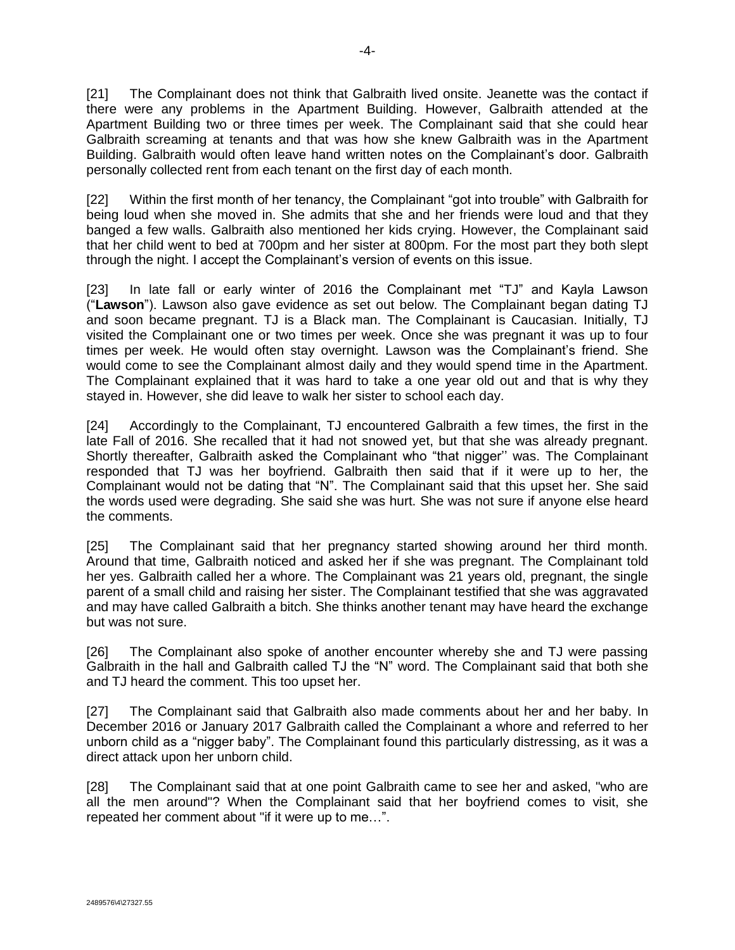[21] The Complainant does not think that Galbraith lived onsite. Jeanette was the contact if there were any problems in the Apartment Building. However, Galbraith attended at the Apartment Building two or three times per week. The Complainant said that she could hear Galbraith screaming at tenants and that was how she knew Galbraith was in the Apartment Building. Galbraith would often leave hand written notes on the Complainant's door. Galbraith personally collected rent from each tenant on the first day of each month.

[22] Within the first month of her tenancy, the Complainant "got into trouble" with Galbraith for being loud when she moved in. She admits that she and her friends were loud and that they banged a few walls. Galbraith also mentioned her kids crying. However, the Complainant said that her child went to bed at 700pm and her sister at 800pm. For the most part they both slept through the night. I accept the Complainant's version of events on this issue.

[23] In late fall or early winter of 2016 the Complainant met "TJ" and Kayla Lawson ("**Lawson**"). Lawson also gave evidence as set out below. The Complainant began dating TJ and soon became pregnant. TJ is a Black man. The Complainant is Caucasian. Initially, TJ visited the Complainant one or two times per week. Once she was pregnant it was up to four times per week. He would often stay overnight. Lawson was the Complainant's friend. She would come to see the Complainant almost daily and they would spend time in the Apartment. The Complainant explained that it was hard to take a one year old out and that is why they stayed in. However, she did leave to walk her sister to school each day.

[24] Accordingly to the Complainant, TJ encountered Galbraith a few times, the first in the late Fall of 2016. She recalled that it had not snowed yet, but that she was already pregnant. Shortly thereafter, Galbraith asked the Complainant who "that nigger'' was. The Complainant responded that TJ was her boyfriend. Galbraith then said that if it were up to her, the Complainant would not be dating that "N". The Complainant said that this upset her. She said the words used were degrading. She said she was hurt. She was not sure if anyone else heard the comments.

[25] The Complainant said that her pregnancy started showing around her third month. Around that time, Galbraith noticed and asked her if she was pregnant. The Complainant told her yes. Galbraith called her a whore. The Complainant was 21 years old, pregnant, the single parent of a small child and raising her sister. The Complainant testified that she was aggravated and may have called Galbraith a bitch. She thinks another tenant may have heard the exchange but was not sure.

[26] The Complainant also spoke of another encounter whereby she and TJ were passing Galbraith in the hall and Galbraith called TJ the "N" word. The Complainant said that both she and TJ heard the comment. This too upset her.

[27] The Complainant said that Galbraith also made comments about her and her baby. In December 2016 or January 2017 Galbraith called the Complainant a whore and referred to her unborn child as a "nigger baby". The Complainant found this particularly distressing, as it was a direct attack upon her unborn child.

[28] The Complainant said that at one point Galbraith came to see her and asked, "who are all the men around"? When the Complainant said that her boyfriend comes to visit, she repeated her comment about "if it were up to me…".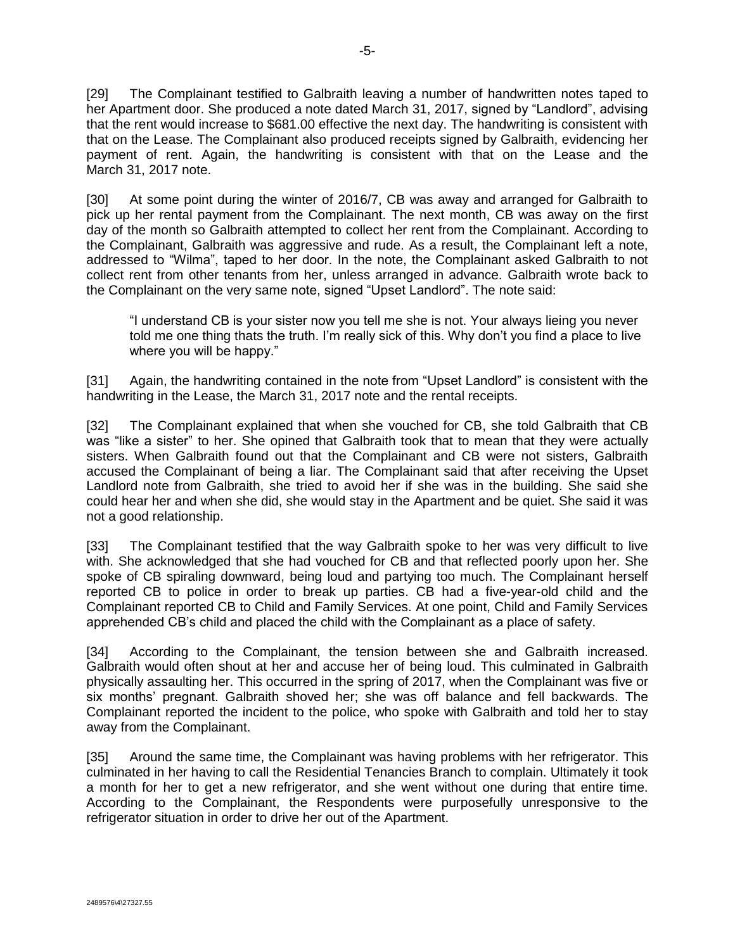[29] The Complainant testified to Galbraith leaving a number of handwritten notes taped to her Apartment door. She produced a note dated March 31, 2017, signed by "Landlord", advising that the rent would increase to \$681.00 effective the next day. The handwriting is consistent with that on the Lease. The Complainant also produced receipts signed by Galbraith, evidencing her payment of rent. Again, the handwriting is consistent with that on the Lease and the March 31, 2017 note.

[30] At some point during the winter of 2016/7, CB was away and arranged for Galbraith to pick up her rental payment from the Complainant. The next month, CB was away on the first day of the month so Galbraith attempted to collect her rent from the Complainant. According to the Complainant, Galbraith was aggressive and rude. As a result, the Complainant left a note, addressed to "Wilma", taped to her door. In the note, the Complainant asked Galbraith to not collect rent from other tenants from her, unless arranged in advance. Galbraith wrote back to the Complainant on the very same note, signed "Upset Landlord". The note said:

"I understand CB is your sister now you tell me she is not. Your always lieing you never told me one thing thats the truth. I'm really sick of this. Why don't you find a place to live where you will be happy."

[31] Again, the handwriting contained in the note from "Upset Landlord" is consistent with the handwriting in the Lease, the March 31, 2017 note and the rental receipts.

[32] The Complainant explained that when she vouched for CB, she told Galbraith that CB was "like a sister" to her. She opined that Galbraith took that to mean that they were actually sisters. When Galbraith found out that the Complainant and CB were not sisters, Galbraith accused the Complainant of being a liar. The Complainant said that after receiving the Upset Landlord note from Galbraith, she tried to avoid her if she was in the building. She said she could hear her and when she did, she would stay in the Apartment and be quiet. She said it was not a good relationship.

[33] The Complainant testified that the way Galbraith spoke to her was very difficult to live with. She acknowledged that she had vouched for CB and that reflected poorly upon her. She spoke of CB spiraling downward, being loud and partying too much. The Complainant herself reported CB to police in order to break up parties. CB had a five-year-old child and the Complainant reported CB to Child and Family Services. At one point, Child and Family Services apprehended CB's child and placed the child with the Complainant as a place of safety.

[34] According to the Complainant, the tension between she and Galbraith increased. Galbraith would often shout at her and accuse her of being loud. This culminated in Galbraith physically assaulting her. This occurred in the spring of 2017, when the Complainant was five or six months' pregnant. Galbraith shoved her; she was off balance and fell backwards. The Complainant reported the incident to the police, who spoke with Galbraith and told her to stay away from the Complainant.

[35] Around the same time, the Complainant was having problems with her refrigerator. This culminated in her having to call the Residential Tenancies Branch to complain. Ultimately it took a month for her to get a new refrigerator, and she went without one during that entire time. According to the Complainant, the Respondents were purposefully unresponsive to the refrigerator situation in order to drive her out of the Apartment.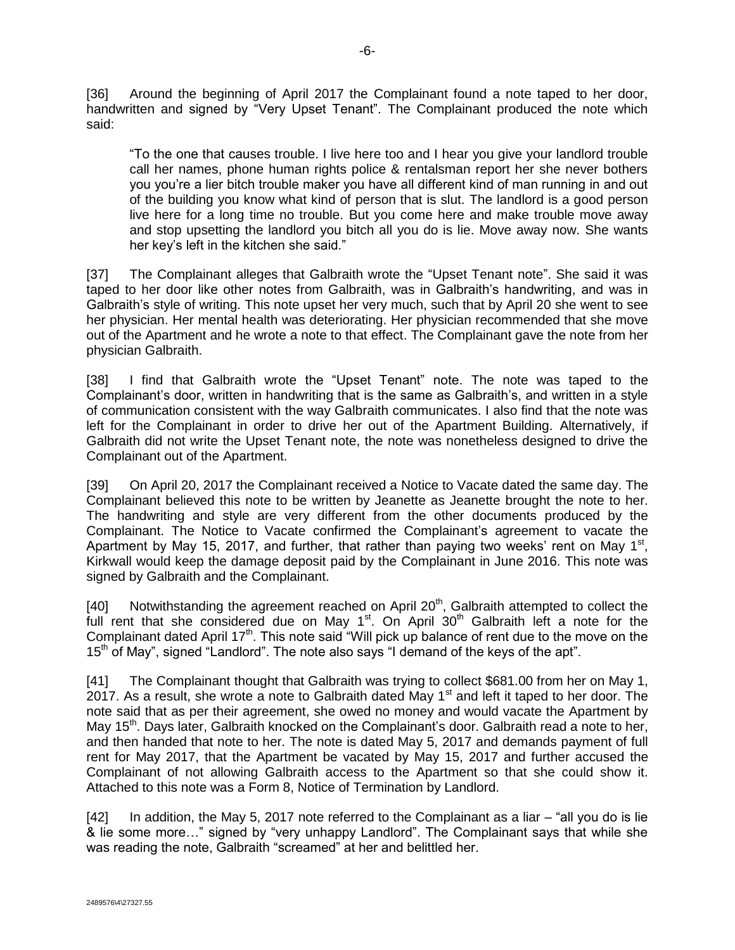[36] Around the beginning of April 2017 the Complainant found a note taped to her door, handwritten and signed by "Very Upset Tenant". The Complainant produced the note which said:

"To the one that causes trouble. I live here too and I hear you give your landlord trouble call her names, phone human rights police & rentalsman report her she never bothers you you're a lier bitch trouble maker you have all different kind of man running in and out of the building you know what kind of person that is slut. The landlord is a good person live here for a long time no trouble. But you come here and make trouble move away and stop upsetting the landlord you bitch all you do is lie. Move away now. She wants her key's left in the kitchen she said."

[37] The Complainant alleges that Galbraith wrote the "Upset Tenant note". She said it was taped to her door like other notes from Galbraith, was in Galbraith's handwriting, and was in Galbraith's style of writing. This note upset her very much, such that by April 20 she went to see her physician. Her mental health was deteriorating. Her physician recommended that she move out of the Apartment and he wrote a note to that effect. The Complainant gave the note from her physician Galbraith.

[38] I find that Galbraith wrote the "Upset Tenant" note. The note was taped to the Complainant's door, written in handwriting that is the same as Galbraith's, and written in a style of communication consistent with the way Galbraith communicates. I also find that the note was left for the Complainant in order to drive her out of the Apartment Building. Alternatively, if Galbraith did not write the Upset Tenant note, the note was nonetheless designed to drive the Complainant out of the Apartment.

[39] On April 20, 2017 the Complainant received a Notice to Vacate dated the same day. The Complainant believed this note to be written by Jeanette as Jeanette brought the note to her. The handwriting and style are very different from the other documents produced by the Complainant. The Notice to Vacate confirmed the Complainant's agreement to vacate the Apartment by May 15, 2017, and further, that rather than paying two weeks' rent on May 1<sup>st</sup>, Kirkwall would keep the damage deposit paid by the Complainant in June 2016. This note was signed by Galbraith and the Complainant.

[40] Notwithstanding the agreement reached on April  $20<sup>th</sup>$ , Galbraith attempted to collect the full rent that she considered due on May 1<sup>st</sup>. On April 30<sup>th</sup> Galbraith left a note for the Complainant dated April  $17<sup>th</sup>$ . This note said "Will pick up balance of rent due to the move on the 15<sup>th</sup> of May", signed "Landlord". The note also says "I demand of the keys of the apt".

[41] The Complainant thought that Galbraith was trying to collect \$681.00 from her on May 1, 2017. As a result, she wrote a note to Galbraith dated May 1<sup>st</sup> and left it taped to her door. The note said that as per their agreement, she owed no money and would vacate the Apartment by May 15<sup>th</sup>. Days later, Galbraith knocked on the Complainant's door. Galbraith read a note to her, and then handed that note to her. The note is dated May 5, 2017 and demands payment of full rent for May 2017, that the Apartment be vacated by May 15, 2017 and further accused the Complainant of not allowing Galbraith access to the Apartment so that she could show it. Attached to this note was a Form 8, Notice of Termination by Landlord.

[42] In addition, the May 5, 2017 note referred to the Complainant as a liar – "all you do is lie & lie some more…" signed by "very unhappy Landlord". The Complainant says that while she was reading the note, Galbraith "screamed" at her and belittled her.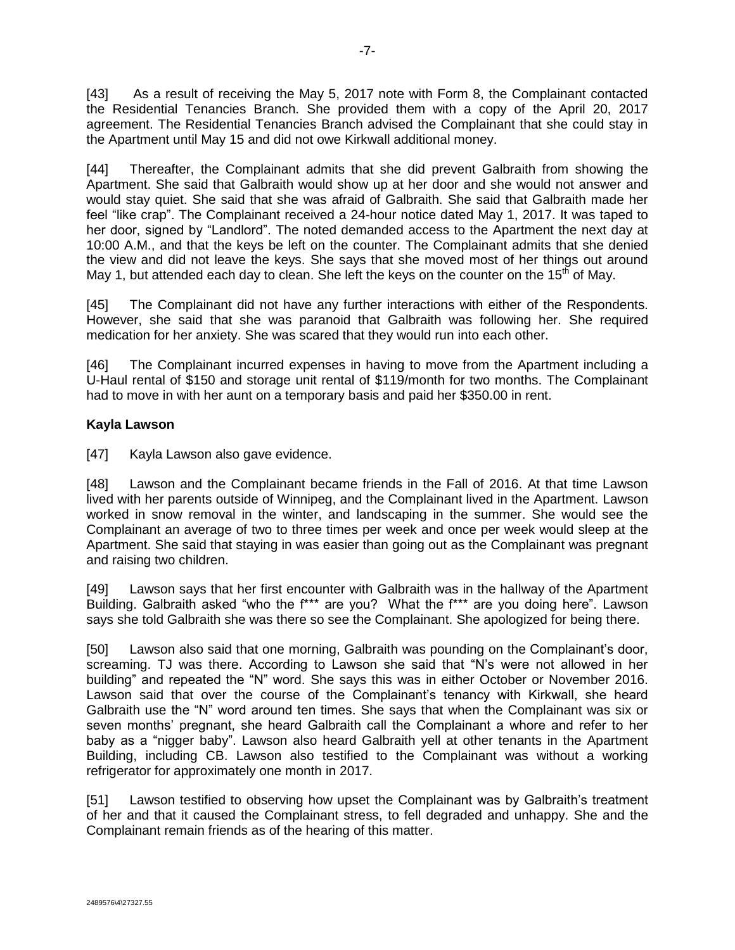[43] As a result of receiving the May 5, 2017 note with Form 8, the Complainant contacted the Residential Tenancies Branch. She provided them with a copy of the April 20, 2017 agreement. The Residential Tenancies Branch advised the Complainant that she could stay in the Apartment until May 15 and did not owe Kirkwall additional money.

[44] Thereafter, the Complainant admits that she did prevent Galbraith from showing the Apartment. She said that Galbraith would show up at her door and she would not answer and would stay quiet. She said that she was afraid of Galbraith. She said that Galbraith made her feel "like crap". The Complainant received a 24-hour notice dated May 1, 2017. It was taped to her door, signed by "Landlord". The noted demanded access to the Apartment the next day at 10:00 A.M., and that the keys be left on the counter. The Complainant admits that she denied the view and did not leave the keys. She says that she moved most of her things out around May 1, but attended each day to clean. She left the keys on the counter on the 15<sup>th</sup> of May.

[45] The Complainant did not have any further interactions with either of the Respondents. However, she said that she was paranoid that Galbraith was following her. She required medication for her anxiety. She was scared that they would run into each other.

[46] The Complainant incurred expenses in having to move from the Apartment including a U-Haul rental of \$150 and storage unit rental of \$119/month for two months. The Complainant had to move in with her aunt on a temporary basis and paid her \$350.00 in rent.

# **Kayla Lawson**

[47] Kayla Lawson also gave evidence.

[48] Lawson and the Complainant became friends in the Fall of 2016. At that time Lawson lived with her parents outside of Winnipeg, and the Complainant lived in the Apartment. Lawson worked in snow removal in the winter, and landscaping in the summer. She would see the Complainant an average of two to three times per week and once per week would sleep at the Apartment. She said that staying in was easier than going out as the Complainant was pregnant and raising two children.

[49] Lawson says that her first encounter with Galbraith was in the hallway of the Apartment Building. Galbraith asked "who the f\*\*\* are you? What the f\*\*\* are you doing here". Lawson says she told Galbraith she was there so see the Complainant. She apologized for being there.

[50] Lawson also said that one morning, Galbraith was pounding on the Complainant's door, screaming. TJ was there. According to Lawson she said that "N's were not allowed in her building" and repeated the "N" word. She says this was in either October or November 2016. Lawson said that over the course of the Complainant's tenancy with Kirkwall, she heard Galbraith use the "N" word around ten times. She says that when the Complainant was six or seven months' pregnant, she heard Galbraith call the Complainant a whore and refer to her baby as a "nigger baby". Lawson also heard Galbraith yell at other tenants in the Apartment Building, including CB. Lawson also testified to the Complainant was without a working refrigerator for approximately one month in 2017.

[51] Lawson testified to observing how upset the Complainant was by Galbraith's treatment of her and that it caused the Complainant stress, to fell degraded and unhappy. She and the Complainant remain friends as of the hearing of this matter.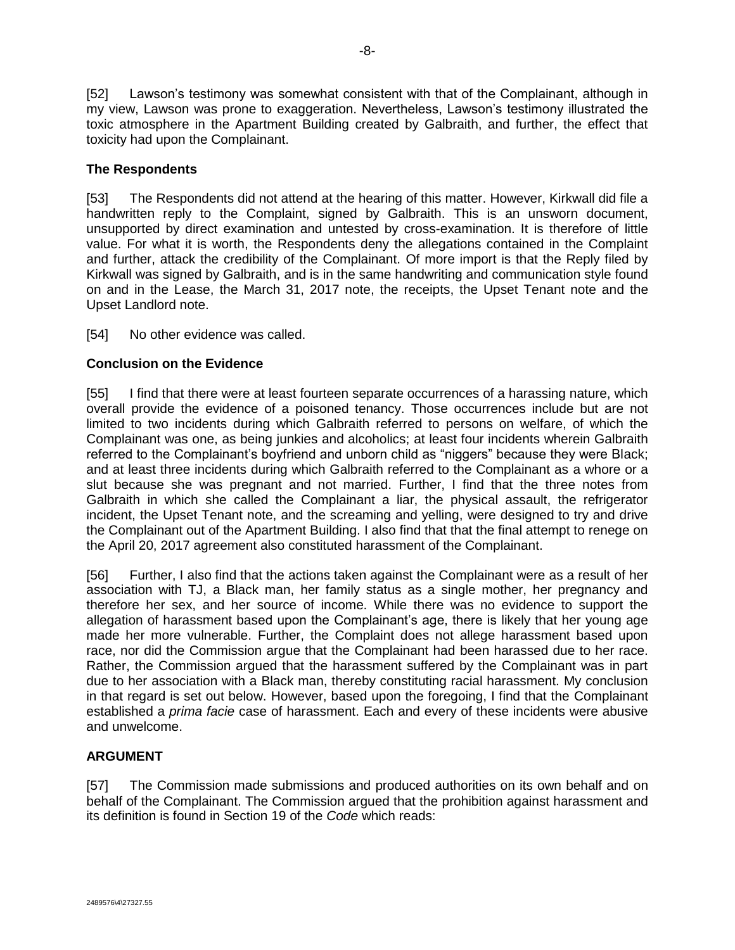[52] Lawson's testimony was somewhat consistent with that of the Complainant, although in my view, Lawson was prone to exaggeration. Nevertheless, Lawson's testimony illustrated the toxic atmosphere in the Apartment Building created by Galbraith, and further, the effect that toxicity had upon the Complainant.

## **The Respondents**

[53] The Respondents did not attend at the hearing of this matter. However, Kirkwall did file a handwritten reply to the Complaint, signed by Galbraith. This is an unsworn document, unsupported by direct examination and untested by cross-examination. It is therefore of little value. For what it is worth, the Respondents deny the allegations contained in the Complaint and further, attack the credibility of the Complainant. Of more import is that the Reply filed by Kirkwall was signed by Galbraith, and is in the same handwriting and communication style found on and in the Lease, the March 31, 2017 note, the receipts, the Upset Tenant note and the Upset Landlord note.

[54] No other evidence was called.

## **Conclusion on the Evidence**

[55] I find that there were at least fourteen separate occurrences of a harassing nature, which overall provide the evidence of a poisoned tenancy. Those occurrences include but are not limited to two incidents during which Galbraith referred to persons on welfare, of which the Complainant was one, as being junkies and alcoholics; at least four incidents wherein Galbraith referred to the Complainant's boyfriend and unborn child as "niggers" because they were Black; and at least three incidents during which Galbraith referred to the Complainant as a whore or a slut because she was pregnant and not married. Further, I find that the three notes from Galbraith in which she called the Complainant a liar, the physical assault, the refrigerator incident, the Upset Tenant note, and the screaming and yelling, were designed to try and drive the Complainant out of the Apartment Building. I also find that that the final attempt to renege on the April 20, 2017 agreement also constituted harassment of the Complainant.

[56] Further, I also find that the actions taken against the Complainant were as a result of her association with TJ, a Black man, her family status as a single mother, her pregnancy and therefore her sex, and her source of income. While there was no evidence to support the allegation of harassment based upon the Complainant's age, there is likely that her young age made her more vulnerable. Further, the Complaint does not allege harassment based upon race, nor did the Commission argue that the Complainant had been harassed due to her race. Rather, the Commission argued that the harassment suffered by the Complainant was in part due to her association with a Black man, thereby constituting racial harassment. My conclusion in that regard is set out below. However, based upon the foregoing, I find that the Complainant established a *prima facie* case of harassment. Each and every of these incidents were abusive and unwelcome.

# **ARGUMENT**

[57] The Commission made submissions and produced authorities on its own behalf and on behalf of the Complainant. The Commission argued that the prohibition against harassment and its definition is found in Section 19 of the *Code* which reads: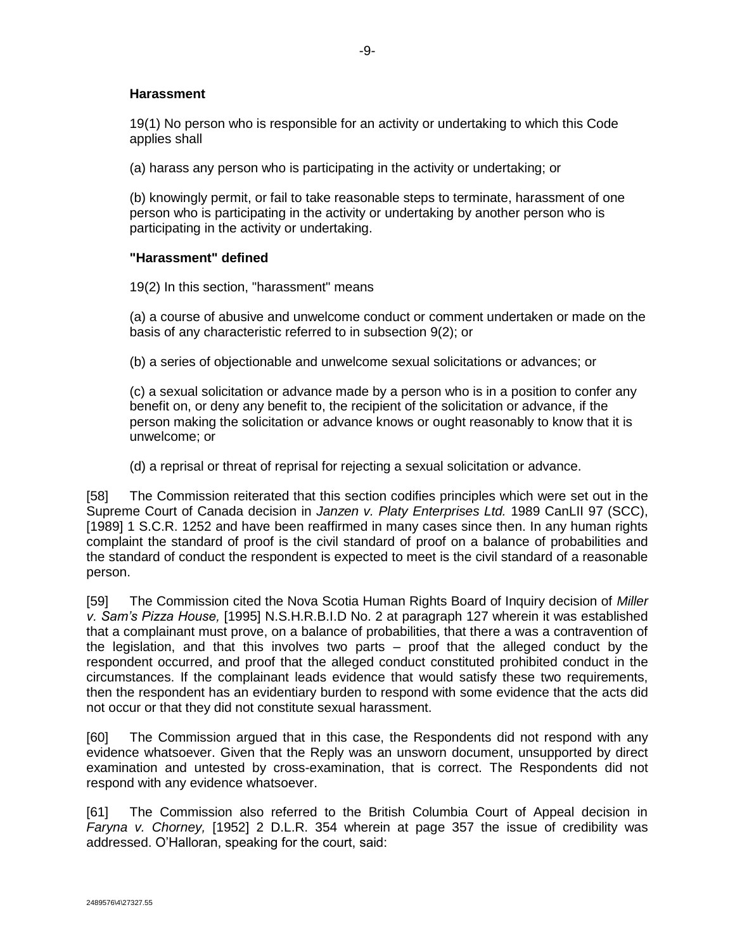## **Harassment**

19(1) No person who is responsible for an activity or undertaking to which this Code applies shall

(a) harass any person who is participating in the activity or undertaking; or

(b) knowingly permit, or fail to take reasonable steps to terminate, harassment of one person who is participating in the activity or undertaking by another person who is participating in the activity or undertaking.

## **"Harassment" defined**

19(2) In this section, "harassment" means

(a) a course of abusive and unwelcome conduct or comment undertaken or made on the basis of any characteristic referred to in subsection 9(2); or

(b) a series of objectionable and unwelcome sexual solicitations or advances; or

(c) a sexual solicitation or advance made by a person who is in a position to confer any benefit on, or deny any benefit to, the recipient of the solicitation or advance, if the person making the solicitation or advance knows or ought reasonably to know that it is unwelcome; or

(d) a reprisal or threat of reprisal for rejecting a sexual solicitation or advance.

[58] The Commission reiterated that this section codifies principles which were set out in the Supreme Court of Canada decision in *Janzen v. Platy Enterprises Ltd.* 1989 CanLII 97 (SCC), [1989] 1 S.C.R. 1252 and have been reaffirmed in many cases since then. In any human rights complaint the standard of proof is the civil standard of proof on a balance of probabilities and the standard of conduct the respondent is expected to meet is the civil standard of a reasonable person.

[59] The Commission cited the Nova Scotia Human Rights Board of Inquiry decision of *Miller v. Sam's Pizza House,* [1995] N.S.H.R.B.I.D No. 2 at paragraph 127 wherein it was established that a complainant must prove, on a balance of probabilities, that there a was a contravention of the legislation, and that this involves two parts – proof that the alleged conduct by the respondent occurred, and proof that the alleged conduct constituted prohibited conduct in the circumstances. If the complainant leads evidence that would satisfy these two requirements, then the respondent has an evidentiary burden to respond with some evidence that the acts did not occur or that they did not constitute sexual harassment.

[60] The Commission argued that in this case, the Respondents did not respond with any evidence whatsoever. Given that the Reply was an unsworn document, unsupported by direct examination and untested by cross-examination, that is correct. The Respondents did not respond with any evidence whatsoever.

[61] The Commission also referred to the British Columbia Court of Appeal decision in *Faryna v. Chorney,* [1952] 2 D.L.R. 354 wherein at page 357 the issue of credibility was addressed. O'Halloran, speaking for the court, said: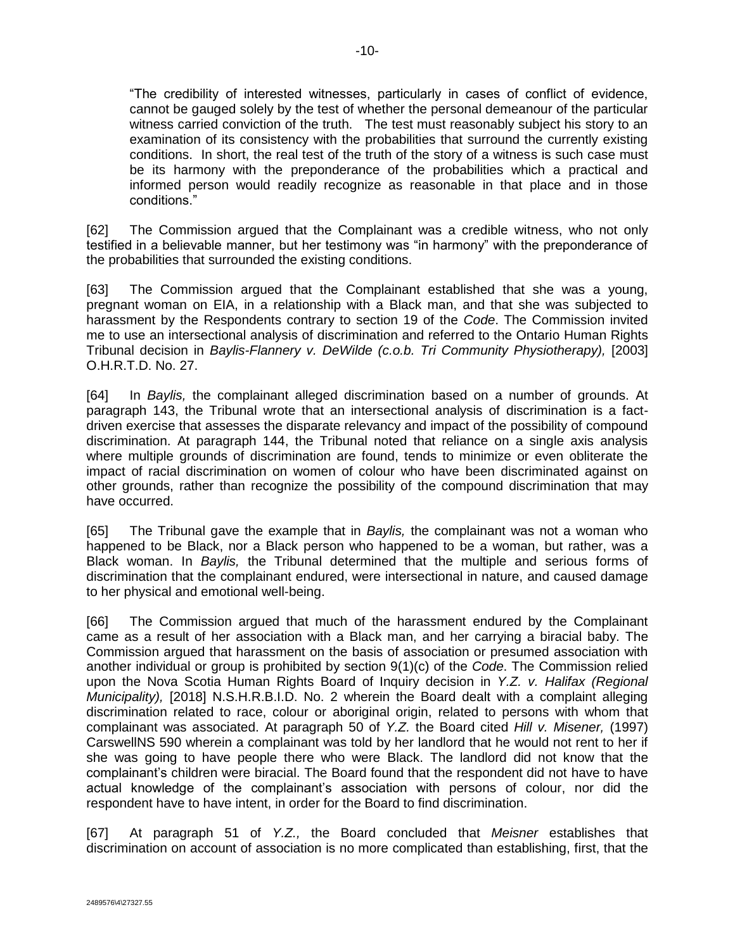"The credibility of interested witnesses, particularly in cases of conflict of evidence, cannot be gauged solely by the test of whether the personal demeanour of the particular witness carried conviction of the truth. The test must reasonably subject his story to an examination of its consistency with the probabilities that surround the currently existing conditions. In short, the real test of the truth of the story of a witness is such case must be its harmony with the preponderance of the probabilities which a practical and informed person would readily recognize as reasonable in that place and in those conditions."

[62] The Commission argued that the Complainant was a credible witness, who not only testified in a believable manner, but her testimony was "in harmony" with the preponderance of the probabilities that surrounded the existing conditions.

[63] The Commission argued that the Complainant established that she was a young, pregnant woman on EIA, in a relationship with a Black man, and that she was subjected to harassment by the Respondents contrary to section 19 of the *Code*. The Commission invited me to use an intersectional analysis of discrimination and referred to the Ontario Human Rights Tribunal decision in *Baylis-Flannery v. DeWilde (c.o.b. Tri Community Physiotherapy),* [2003] O.H.R.T.D. No. 27.

[64] In *Baylis,* the complainant alleged discrimination based on a number of grounds. At paragraph 143, the Tribunal wrote that an intersectional analysis of discrimination is a factdriven exercise that assesses the disparate relevancy and impact of the possibility of compound discrimination. At paragraph 144, the Tribunal noted that reliance on a single axis analysis where multiple grounds of discrimination are found, tends to minimize or even obliterate the impact of racial discrimination on women of colour who have been discriminated against on other grounds, rather than recognize the possibility of the compound discrimination that may have occurred.

[65] The Tribunal gave the example that in *Baylis,* the complainant was not a woman who happened to be Black, nor a Black person who happened to be a woman, but rather, was a Black woman. In *Baylis,* the Tribunal determined that the multiple and serious forms of discrimination that the complainant endured, were intersectional in nature, and caused damage to her physical and emotional well-being.

[66] The Commission argued that much of the harassment endured by the Complainant came as a result of her association with a Black man, and her carrying a biracial baby. The Commission argued that harassment on the basis of association or presumed association with another individual or group is prohibited by section 9(1)(c) of the *Code*. The Commission relied upon the Nova Scotia Human Rights Board of Inquiry decision in *Y.Z. v. Halifax (Regional Municipality),* [2018] N.S.H.R.B.I.D. No. 2 wherein the Board dealt with a complaint alleging discrimination related to race, colour or aboriginal origin, related to persons with whom that complainant was associated. At paragraph 50 of *Y.Z.* the Board cited *Hill v. Misener,* (1997) CarswellNS 590 wherein a complainant was told by her landlord that he would not rent to her if she was going to have people there who were Black. The landlord did not know that the complainant's children were biracial. The Board found that the respondent did not have to have actual knowledge of the complainant's association with persons of colour, nor did the respondent have to have intent, in order for the Board to find discrimination.

[67] At paragraph 51 of *Y.Z.,* the Board concluded that *Meisner* establishes that discrimination on account of association is no more complicated than establishing, first, that the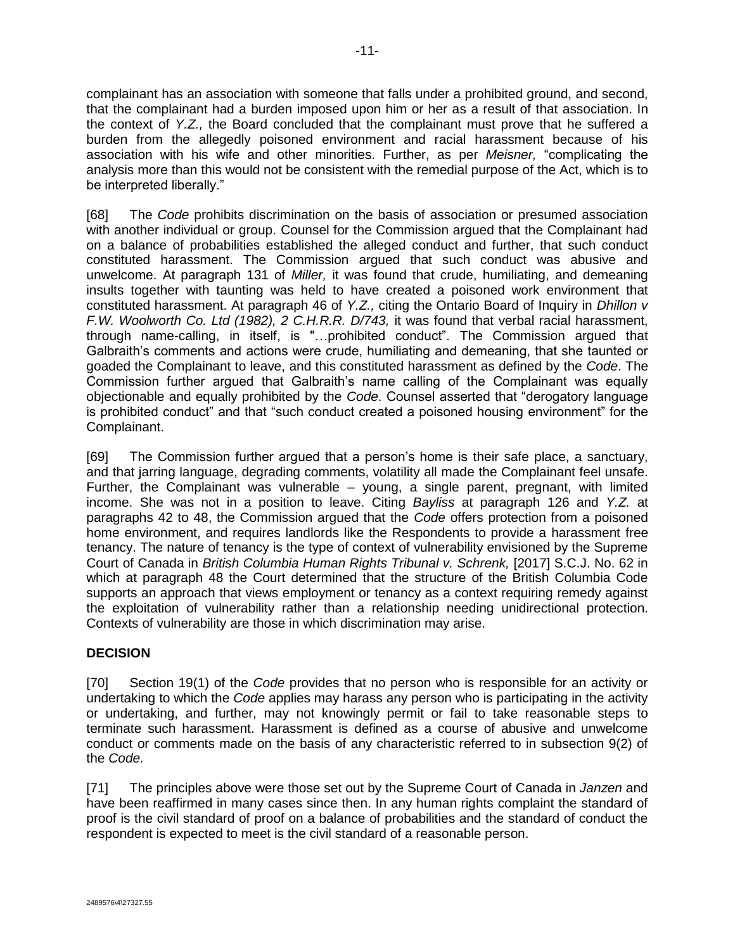complainant has an association with someone that falls under a prohibited ground, and second, that the complainant had a burden imposed upon him or her as a result of that association. In the context of *Y.Z.,* the Board concluded that the complainant must prove that he suffered a burden from the allegedly poisoned environment and racial harassment because of his association with his wife and other minorities. Further, as per *Meisner,* "complicating the analysis more than this would not be consistent with the remedial purpose of the Act, which is to be interpreted liberally."

[68] The *Code* prohibits discrimination on the basis of association or presumed association with another individual or group. Counsel for the Commission argued that the Complainant had on a balance of probabilities established the alleged conduct and further, that such conduct constituted harassment. The Commission argued that such conduct was abusive and unwelcome. At paragraph 131 of *Miller,* it was found that crude, humiliating, and demeaning insults together with taunting was held to have created a poisoned work environment that constituted harassment. At paragraph 46 of *Y.Z.,* citing the Ontario Board of Inquiry in *Dhillon v F.W. Woolworth Co. Ltd (1982), 2 C.H.R.R. D/743,* it was found that verbal racial harassment, through name-calling, in itself, is "…prohibited conduct". The Commission argued that Galbraith's comments and actions were crude, humiliating and demeaning, that she taunted or goaded the Complainant to leave, and this constituted harassment as defined by the *Code*. The Commission further argued that Galbraith's name calling of the Complainant was equally objectionable and equally prohibited by the *Code*. Counsel asserted that "derogatory language is prohibited conduct" and that "such conduct created a poisoned housing environment" for the Complainant.

[69] The Commission further argued that a person's home is their safe place, a sanctuary, and that jarring language, degrading comments, volatility all made the Complainant feel unsafe. Further, the Complainant was vulnerable – young, a single parent, pregnant, with limited income. She was not in a position to leave. Citing *Bayliss* at paragraph 126 and *Y.Z.* at paragraphs 42 to 48, the Commission argued that the *Code* offers protection from a poisoned home environment, and requires landlords like the Respondents to provide a harassment free tenancy. The nature of tenancy is the type of context of vulnerability envisioned by the Supreme Court of Canada in *British Columbia Human Rights Tribunal v. Schrenk,* [2017] S.C.J. No. 62 in which at paragraph 48 the Court determined that the structure of the British Columbia Code supports an approach that views employment or tenancy as a context requiring remedy against the exploitation of vulnerability rather than a relationship needing unidirectional protection. Contexts of vulnerability are those in which discrimination may arise.

# **DECISION**

[70] Section 19(1) of the *Code* provides that no person who is responsible for an activity or undertaking to which the *Code* applies may harass any person who is participating in the activity or undertaking, and further, may not knowingly permit or fail to take reasonable steps to terminate such harassment. Harassment is defined as a course of abusive and unwelcome conduct or comments made on the basis of any characteristic referred to in subsection 9(2) of the *Code.*

[71] The principles above were those set out by the Supreme Court of Canada in *Janzen* and have been reaffirmed in many cases since then. In any human rights complaint the standard of proof is the civil standard of proof on a balance of probabilities and the standard of conduct the respondent is expected to meet is the civil standard of a reasonable person.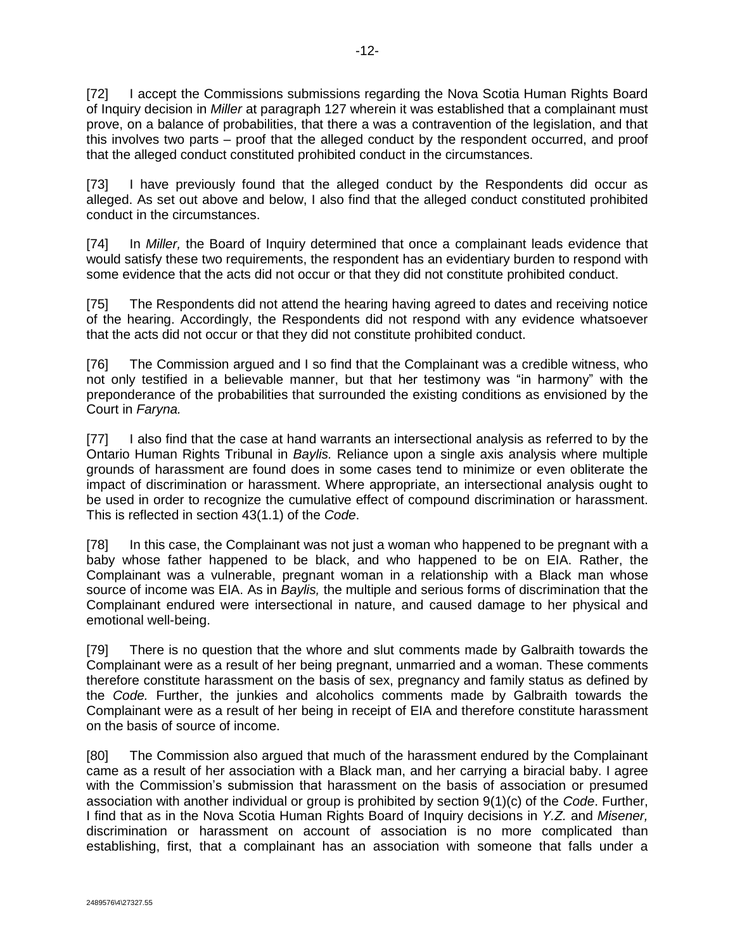[72] I accept the Commissions submissions regarding the Nova Scotia Human Rights Board of Inquiry decision in *Miller* at paragraph 127 wherein it was established that a complainant must prove, on a balance of probabilities, that there a was a contravention of the legislation, and that this involves two parts – proof that the alleged conduct by the respondent occurred, and proof that the alleged conduct constituted prohibited conduct in the circumstances.

[73] I have previously found that the alleged conduct by the Respondents did occur as alleged. As set out above and below, I also find that the alleged conduct constituted prohibited conduct in the circumstances.

[74] In *Miller,* the Board of Inquiry determined that once a complainant leads evidence that would satisfy these two requirements, the respondent has an evidentiary burden to respond with some evidence that the acts did not occur or that they did not constitute prohibited conduct.

[75] The Respondents did not attend the hearing having agreed to dates and receiving notice of the hearing. Accordingly, the Respondents did not respond with any evidence whatsoever that the acts did not occur or that they did not constitute prohibited conduct.

[76] The Commission argued and I so find that the Complainant was a credible witness, who not only testified in a believable manner, but that her testimony was "in harmony" with the preponderance of the probabilities that surrounded the existing conditions as envisioned by the Court in *Faryna.*

[77] I also find that the case at hand warrants an intersectional analysis as referred to by the Ontario Human Rights Tribunal in *Baylis.* Reliance upon a single axis analysis where multiple grounds of harassment are found does in some cases tend to minimize or even obliterate the impact of discrimination or harassment. Where appropriate, an intersectional analysis ought to be used in order to recognize the cumulative effect of compound discrimination or harassment. This is reflected in section 43(1.1) of the *Code*.

[78] In this case, the Complainant was not just a woman who happened to be pregnant with a baby whose father happened to be black, and who happened to be on EIA. Rather, the Complainant was a vulnerable, pregnant woman in a relationship with a Black man whose source of income was EIA. As in *Baylis,* the multiple and serious forms of discrimination that the Complainant endured were intersectional in nature, and caused damage to her physical and emotional well-being.

[79] There is no question that the whore and slut comments made by Galbraith towards the Complainant were as a result of her being pregnant, unmarried and a woman. These comments therefore constitute harassment on the basis of sex, pregnancy and family status as defined by the *Code.* Further, the junkies and alcoholics comments made by Galbraith towards the Complainant were as a result of her being in receipt of EIA and therefore constitute harassment on the basis of source of income.

[80] The Commission also argued that much of the harassment endured by the Complainant came as a result of her association with a Black man, and her carrying a biracial baby. I agree with the Commission's submission that harassment on the basis of association or presumed association with another individual or group is prohibited by section 9(1)(c) of the *Code*. Further, I find that as in the Nova Scotia Human Rights Board of Inquiry decisions in *Y.Z.* and *Misener,* discrimination or harassment on account of association is no more complicated than establishing, first, that a complainant has an association with someone that falls under a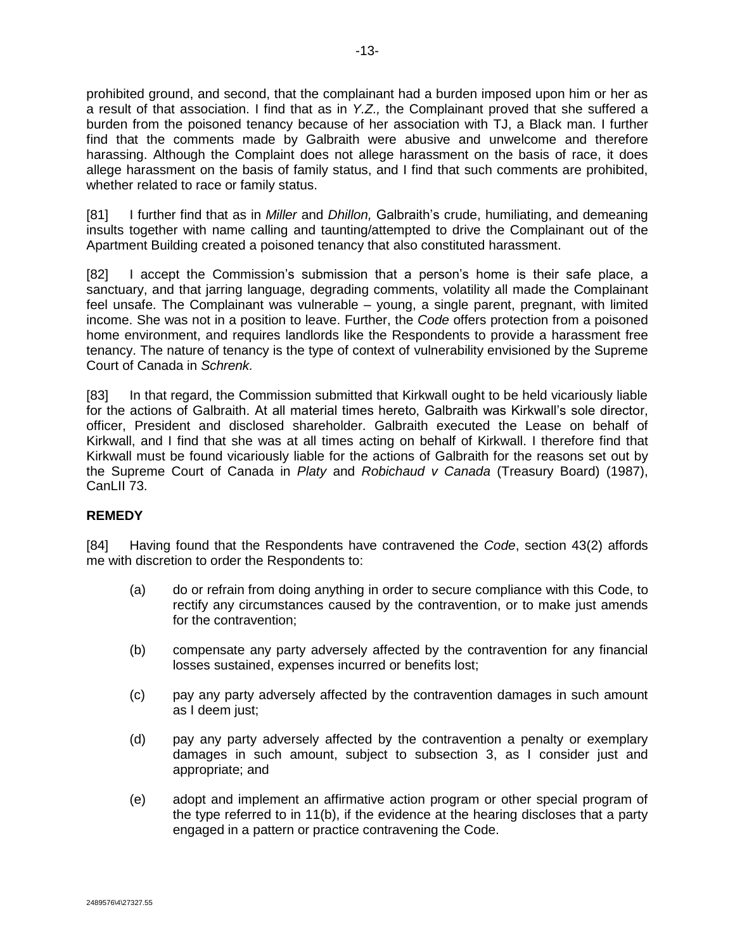prohibited ground, and second, that the complainant had a burden imposed upon him or her as a result of that association. I find that as in *Y.Z.,* the Complainant proved that she suffered a burden from the poisoned tenancy because of her association with TJ, a Black man. I further

find that the comments made by Galbraith were abusive and unwelcome and therefore harassing. Although the Complaint does not allege harassment on the basis of race, it does allege harassment on the basis of family status, and I find that such comments are prohibited, whether related to race or family status.

[81] I further find that as in *Miller* and *Dhillon,* Galbraith's crude, humiliating, and demeaning insults together with name calling and taunting/attempted to drive the Complainant out of the Apartment Building created a poisoned tenancy that also constituted harassment.

[82] I accept the Commission's submission that a person's home is their safe place, a sanctuary, and that jarring language, degrading comments, volatility all made the Complainant feel unsafe. The Complainant was vulnerable – young, a single parent, pregnant, with limited income. She was not in a position to leave. Further, the *Code* offers protection from a poisoned home environment, and requires landlords like the Respondents to provide a harassment free tenancy. The nature of tenancy is the type of context of vulnerability envisioned by the Supreme Court of Canada in *Schrenk.*

[83] In that regard, the Commission submitted that Kirkwall ought to be held vicariously liable for the actions of Galbraith. At all material times hereto, Galbraith was Kirkwall's sole director, officer, President and disclosed shareholder. Galbraith executed the Lease on behalf of Kirkwall, and I find that she was at all times acting on behalf of Kirkwall. I therefore find that Kirkwall must be found vicariously liable for the actions of Galbraith for the reasons set out by the Supreme Court of Canada in *Platy* and *Robichaud v Canada* (Treasury Board) (1987), CanLII 73.

# **REMEDY**

[84] Having found that the Respondents have contravened the *Code*, section 43(2) affords me with discretion to order the Respondents to:

- (a) do or refrain from doing anything in order to secure compliance with this Code, to rectify any circumstances caused by the contravention, or to make just amends for the contravention;
- (b) compensate any party adversely affected by the contravention for any financial losses sustained, expenses incurred or benefits lost;
- (c) pay any party adversely affected by the contravention damages in such amount as I deem just;
- (d) pay any party adversely affected by the contravention a penalty or exemplary damages in such amount, subject to subsection 3, as I consider just and appropriate; and
- (e) adopt and implement an affirmative action program or other special program of the type referred to in 11(b), if the evidence at the hearing discloses that a party engaged in a pattern or practice contravening the Code.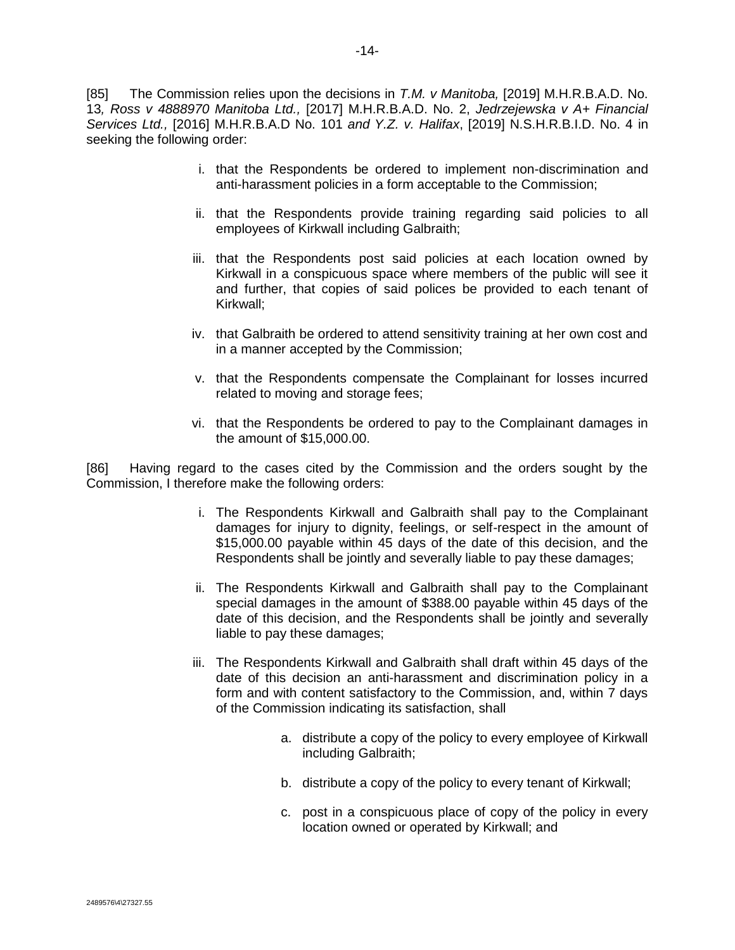[85] The Commission relies upon the decisions in *T.M. v Manitoba,* [2019] M.H.R.B.A.D. No. 13*, Ross v 4888970 Manitoba Ltd.,* [2017] M.H.R.B.A.D. No. 2, *Jedrzejewska v A+ Financial Services Ltd.,* [2016] M.H.R.B.A.D No. 101 *and Y.Z. v. Halifax*, [2019] N.S.H.R.B.I.D. No. 4 in seeking the following order:

- i. that the Respondents be ordered to implement non-discrimination and anti-harassment policies in a form acceptable to the Commission;
- ii. that the Respondents provide training regarding said policies to all employees of Kirkwall including Galbraith;
- iii. that the Respondents post said policies at each location owned by Kirkwall in a conspicuous space where members of the public will see it and further, that copies of said polices be provided to each tenant of Kirkwall;
- iv. that Galbraith be ordered to attend sensitivity training at her own cost and in a manner accepted by the Commission;
- v. that the Respondents compensate the Complainant for losses incurred related to moving and storage fees;
- vi. that the Respondents be ordered to pay to the Complainant damages in the amount of \$15,000.00.

[86] Having regard to the cases cited by the Commission and the orders sought by the Commission, I therefore make the following orders:

- i. The Respondents Kirkwall and Galbraith shall pay to the Complainant damages for injury to dignity, feelings, or self-respect in the amount of \$15,000.00 payable within 45 days of the date of this decision, and the Respondents shall be jointly and severally liable to pay these damages;
- ii. The Respondents Kirkwall and Galbraith shall pay to the Complainant special damages in the amount of \$388.00 payable within 45 days of the date of this decision, and the Respondents shall be jointly and severally liable to pay these damages;
- iii. The Respondents Kirkwall and Galbraith shall draft within 45 days of the date of this decision an anti-harassment and discrimination policy in a form and with content satisfactory to the Commission, and, within 7 days of the Commission indicating its satisfaction, shall
	- a. distribute a copy of the policy to every employee of Kirkwall including Galbraith;
	- b. distribute a copy of the policy to every tenant of Kirkwall;
	- c. post in a conspicuous place of copy of the policy in every location owned or operated by Kirkwall; and